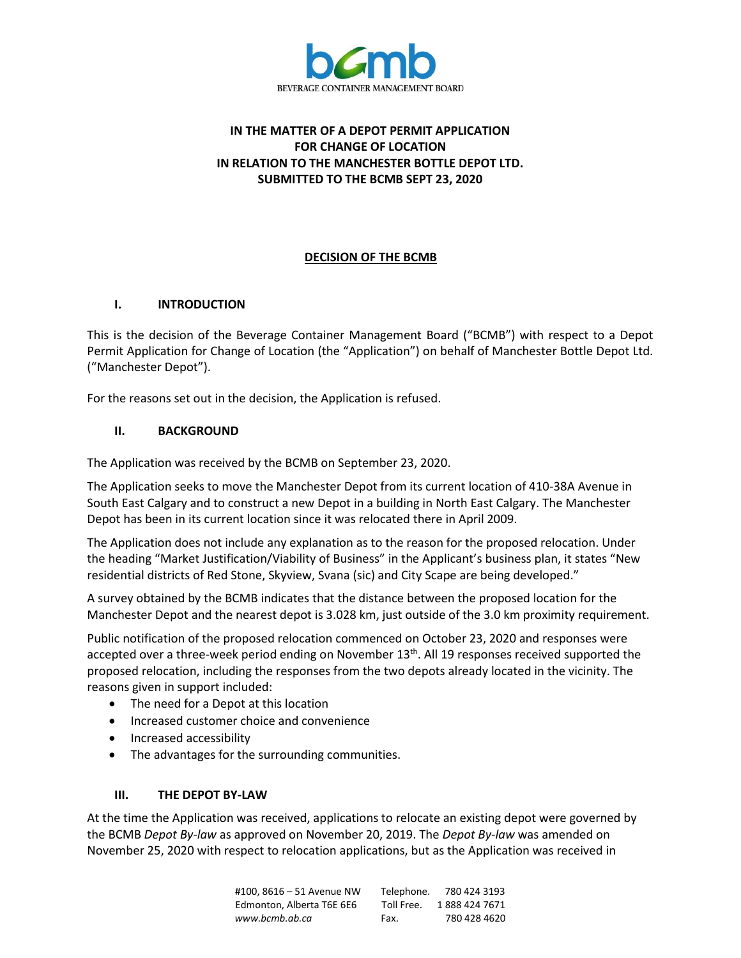

# **IN THE MATTER OF A DEPOT PERMIT APPLICATION FOR CHANGE OF LOCATION IN RELATION TO THE MANCHESTER BOTTLE DEPOT LTD. SUBMITTED TO THE BCMB SEPT 23, 2020**

## **DECISION OF THE BCMB**

#### **I. INTRODUCTION**

This is the decision of the Beverage Container Management Board ("BCMB") with respect to a Depot Permit Application for Change of Location (the "Application") on behalf of Manchester Bottle Depot Ltd. ("Manchester Depot").

For the reasons set out in the decision, the Application is refused.

### **II. BACKGROUND**

The Application was received by the BCMB on September 23, 2020.

The Application seeks to move the Manchester Depot from its current location of 410-38A Avenue in South East Calgary and to construct a new Depot in a building in North East Calgary. The Manchester Depot has been in its current location since it was relocated there in April 2009.

The Application does not include any explanation as to the reason for the proposed relocation. Under the heading "Market Justification/Viability of Business" in the Applicant's business plan, it states "New residential districts of Red Stone, Skyview, Svana (sic) and City Scape are being developed."

A survey obtained by the BCMB indicates that the distance between the proposed location for the Manchester Depot and the nearest depot is 3.028 km, just outside of the 3.0 km proximity requirement.

Public notification of the proposed relocation commenced on October 23, 2020 and responses were accepted over a three-week period ending on November  $13<sup>th</sup>$ . All 19 responses received supported the proposed relocation, including the responses from the two depots already located in the vicinity. The reasons given in support included:

- The need for a Depot at this location
- Increased customer choice and convenience
- Increased accessibility
- The advantages for the surrounding communities.

#### **III. THE DEPOT BY-LAW**

At the time the Application was received, applications to relocate an existing depot were governed by the BCMB *Depot By-law* as approved on November 20, 2019. The *Depot By-law* was amended on November 25, 2020 with respect to relocation applications, but as the Application was received in

| #100.8616 - 51 Avenue NW  | Telephone. | 780 424 3193  |
|---------------------------|------------|---------------|
| Edmonton. Alberta T6E 6E6 | Toll Free. | 1888 424 7671 |
| www.bcmb.ab.ca            | Fax.       | 780 428 4620  |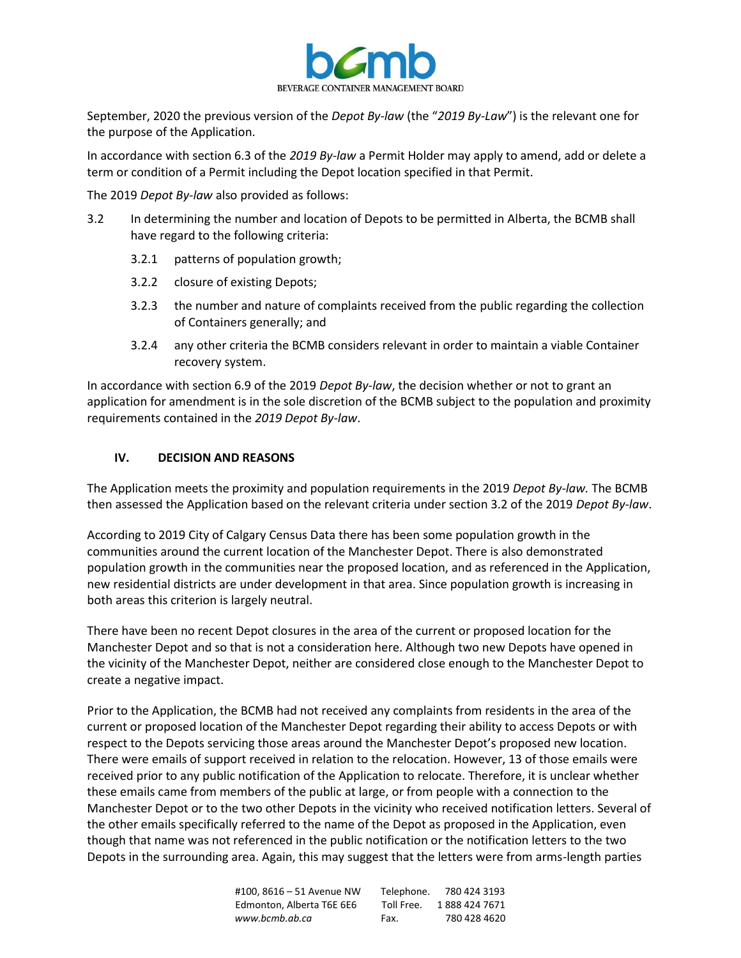

September, 2020 the previous version of the *Depot By-law* (the "*2019 By-Law*") is the relevant one for the purpose of the Application.

In accordance with section 6.3 of the *2019 By-law* a Permit Holder may apply to amend, add or delete a term or condition of a Permit including the Depot location specified in that Permit.

The 2019 *Depot By-law* also provided as follows:

- 3.2 In determining the number and location of Depots to be permitted in Alberta, the BCMB shall have regard to the following criteria:
	- 3.2.1 patterns of population growth;
	- 3.2.2 closure of existing Depots;
	- 3.2.3 the number and nature of complaints received from the public regarding the collection of Containers generally; and
	- 3.2.4 any other criteria the BCMB considers relevant in order to maintain a viable Container recovery system.

In accordance with section 6.9 of the 2019 *Depot By-law*, the decision whether or not to grant an application for amendment is in the sole discretion of the BCMB subject to the population and proximity requirements contained in the *2019 Depot By-law*.

### **IV. DECISION AND REASONS**

The Application meets the proximity and population requirements in the 2019 *Depot By-law.* The BCMB then assessed the Application based on the relevant criteria under section 3.2 of the 2019 *Depot By-law*.

According to 2019 City of Calgary Census Data there has been some population growth in the communities around the current location of the Manchester Depot. There is also demonstrated population growth in the communities near the proposed location, and as referenced in the Application, new residential districts are under development in that area. Since population growth is increasing in both areas this criterion is largely neutral.

There have been no recent Depot closures in the area of the current or proposed location for the Manchester Depot and so that is not a consideration here. Although two new Depots have opened in the vicinity of the Manchester Depot, neither are considered close enough to the Manchester Depot to create a negative impact.

Prior to the Application, the BCMB had not received any complaints from residents in the area of the current or proposed location of the Manchester Depot regarding their ability to access Depots or with respect to the Depots servicing those areas around the Manchester Depot's proposed new location. There were emails of support received in relation to the relocation. However, 13 of those emails were received prior to any public notification of the Application to relocate. Therefore, it is unclear whether these emails came from members of the public at large, or from people with a connection to the Manchester Depot or to the two other Depots in the vicinity who received notification letters. Several of the other emails specifically referred to the name of the Depot as proposed in the Application, even though that name was not referenced in the public notification or the notification letters to the two Depots in the surrounding area. Again, this may suggest that the letters were from arms-length parties

> #100, 8616 – 51 Avenue NW Telephone. 780 424 3193 Edmonton, Alberta T6E 6E6 Toll Free. 1888 424 7671 *www.bcmb.ab.ca* Fax. 780 428 4620